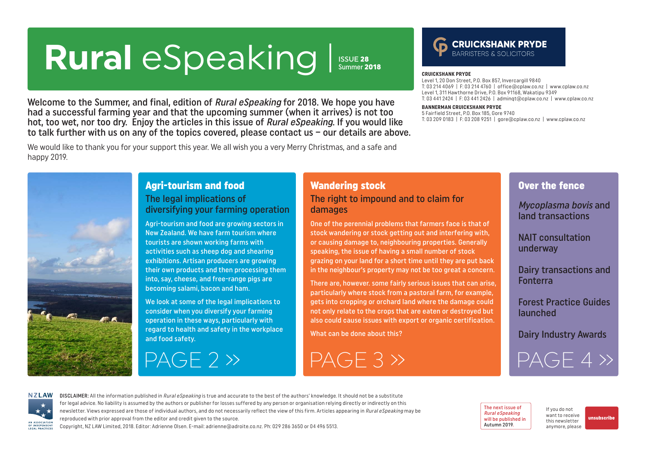# <span id="page-0-0"></span>Rural eSpeaking Issue 28

Summer 2018

Welcome to the Summer, and final, edition of Rural eSpeaking for 2018. We hope you have had a successful farming year and that the upcoming summer (when it arrives) is not too hot, too wet, nor too dry. Enjoy the articles in this issue of Rural eSpeaking. If you would like to talk further with us on any of the topics covered, please contact us – our details are above.

We would like to thank you for your support this year. We all wish you a very Merry Christmas, and a safe and happy 2019.



#### Agri-tourism and food The legal implications of diversifying your farming operation

Agri-tourism and food are growing sectors in New Zealand. We have farm tourism where tourists are shown working farms with activities such as sheep dog and shearing exhibitions. Artisan producers are growing their own products and then processing them into, say, cheese, and free-range pigs are becoming salami, bacon and ham.

We look at some of the legal implications to consider when you diversify your farming operation in these ways, particularly with regard to health and safety in the workplace and food safety.

## [PAGE 2 »](#page-1-0) [PAGE 3 »](#page-2-0)

#### Wandering stock The right to impound and to claim for damages

One of the perennial problems that farmers face is that of stock wandering or stock getting out and interfering with, or causing damage to, neighbouring properties. Generally speaking, the issue of having a small number of stock grazing on your land for a short time until they are put back in the neighbour's property may not be too great a concern.

There are, however. some fairly serious issues that can arise, particularly where stock from a pastoral farm, for example, gets into cropping or orchard land where the damage could not only relate to the crops that are eaten or destroyed but also could cause issues with export or organic certification.

What can be done about this?

## **CRUICKSHANK PRYDE**

#### **CRUICKSHANK PRYDE**

Level 1, 20 Don Street, P.O. Box 857, Invercargill 9840 T: 03 214 4069 | F: 03 214 4760 | office@cplaw.co.nz | www.cplaw.co.nz Level 1, 311 Hawthorne Drive, P.O. Box 91168, Wakatipu 9349 T: 03 441 2424 | F: 03 441 2426 | adminqt@cplaw.co.nz | www.cplaw.co.nz

#### **BANNERMAN CRUICKSHANK PRYDE**

5 Fairfield Street, P.O. Box 185, Gore 9740 T: 03 209 0183 | F: 03 208 9251 | gore@cplaw.co.nz | www.cplaw.co.nz

#### Over the fence

Mycoplasma bovis and land transactions

NAIT consultation underway

Dairy transactions and Fonterra

Forest Practice Guides launched

Dairy Industry Awards

[PAGE 4 »](#page-3-0)



DISCLAIMER: All the information published in Rural eSpeaking is true and accurate to the best of the authors' knowledge. It should not be a substitute for legal advice. No liability is assumed by the authors or publisher for losses suffered by any person or organisation relying directly or indirectly on this newsletter. Views expressed are those of individual authors, and do not necessarily reflect the view of this firm. Articles appearing in Rural eSpeaking may be reproduced with prior approval from the editor and credit given to the source.

Copyright, NZ LAW Limited, 2018. Editor: Adrienne Olsen. [E-mail: adrienne@adroite.co.nz](mailto:adrienne@adroite.co.nz). Ph: 029 286 3650 or 04 496 5513.

The next issue of Rural eSpeaking will be published in Autumn 2019.

If you do not want to receive this newsletter anymore, please [unsubscribe](mailto:adrienne%40adroite.co.nz?subject=Please%20unsubscribe%20me%20from%20Rural%20eSpeaking)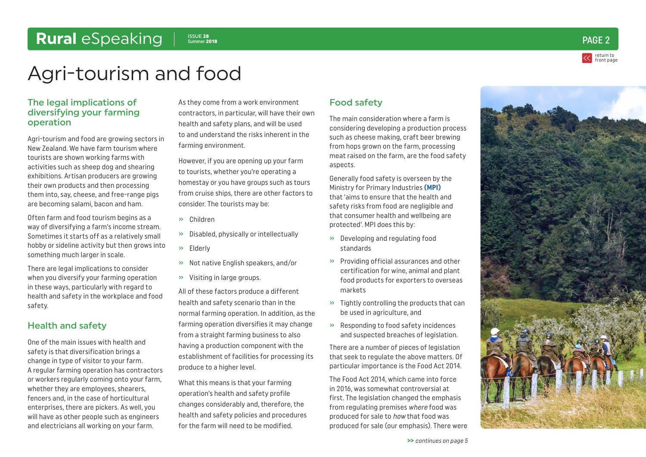

## <span id="page-1-0"></span>Agri-tourism and food

#### The legal implications of diversifying your farming operation

Agri-tourism and food are growing sectors in New Zealand. We have farm tourism where tourists are shown working farms with activities such as sheep dog and shearing exhibitions. Artisan producers are growing their own products and then processing them into, say, cheese, and free-range pigs are becoming salami, bacon and ham.

Often farm and food tourism begins as a way of diversifying a farm's income stream. Sometimes it starts off as a relatively small hobby or sideline activity but then grows into something much larger in scale.

There are legal implications to consider when you diversify your farming operation in these ways, particularly with regard to health and safety in the workplace and food safety.

#### Health and safety

One of the main issues with health and safety is that diversification brings a change in type of visitor to your farm. A regular farming operation has contractors or workers regularly coming onto your farm, whether they are employees, shearers, fencers and, in the case of horticultural enterprises, there are pickers. As well, you will have as other people such as engineers and electricians all working on your farm.

As they come from a work environment contractors, in particular, will have their own health and safety plans, and will be used to and understand the risks inherent in the farming environment.

However, if you are opening up your farm to tourists, whether you're operating a homestay or you have groups such as tours from cruise ships, there are other factors to consider. The tourists may be:

- » Children
- » Disabled, physically or intellectually
- » Elderly
- » Not native English speakers, and/or
- » Visiting in large groups.

All of these factors produce a different health and safety scenario than in the normal farming operation. In addition, as the farming operation diversifies it may change from a straight farming business to also having a production component with the establishment of facilities for processing its produce to a higher level.

What this means is that your farming operation's health and safety profile changes considerably and, therefore, the health and safety policies and procedures for the farm will need to be modified.

#### Food safety

The main consideration where a farm is considering developing a production process such as cheese making, craft beer brewing from hops grown on the farm, processing meat raised on the farm, are the food safety aspects.

Generally food safety is overseen by the Ministry for Primary Industries **[\(MPI\)](https://www.mpi.govt.nz/food-safety/)** that 'aims to ensure that the health and safety risks from food are negligible and that consumer health and wellbeing are protected'. MPI does this by:

- » Developing and regulating food standards
- » Providing official assurances and other certification for wine, animal and plant food products for exporters to overseas markets
- $\gg$  Tightly controlling the products that can be used in agriculture, and
- » Responding to food safety incidences and suspected breaches of legislation.

There are a number of pieces of legislation that seek to regulate the above matters. Of particular importance is the Food Act 2014.

The Food Act 2014, which came into force in 2016, was somewhat controversial at first. The legislation changed the emphasis from regulating premises where food was produced for sale to how that food was produced for sale (our emphasis). There were

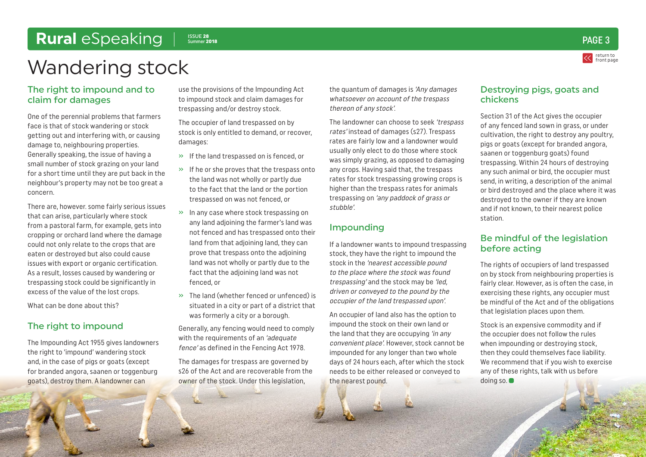<span id="page-2-0"></span>Wandering stock

#### The right to impound and to claim for damages

One of the perennial problems that farmers face is that of stock wandering or stock getting out and interfering with, or causing damage to, neighbouring properties. Generally speaking, the issue of having a small number of stock grazing on your land for a short time until they are put back in the neighbour's property may not be too great a concern.

There are, however. some fairly serious issues that can arise, particularly where stock from a pastoral farm, for example, gets into cropping or orchard land where the damage could not only relate to the crops that are eaten or destroyed but also could cause issues with export or organic certification. As a result, losses caused by wandering or trespassing stock could be significantly in excess of the value of the lost crops.

What can be done about this?

#### The right to impound

The Impounding Act 1955 gives landowners the right to 'impound' wandering stock and, in the case of pigs or goats (except for branded angora, saanen or toggenburg goats), destroy them. A landowner can

use the provisions of the Impounding Act to impound stock and claim damages for trespassing and/or destroy stock.

The occupier of land trespassed on by stock is only entitled to demand, or recover, damages:

- » If the land trespassed on is fenced, or
- » If he or she proves that the trespass onto the land was not wholly or partly due to the fact that the land or the portion trespassed on was not fenced, or
- » In any case where stock trespassing on any land adjoining the farmer's land was not fenced and has trespassed onto their land from that adjoining land, they can prove that trespass onto the adjoining land was not wholly or partly due to the fact that the adjoining land was not fenced, or
- » The land (whether fenced or unfenced) is situated in a city or part of a district that was formerly a city or a borough.

Generally, any fencing would need to comply with the requirements of an 'adequate fence' as defined in the Fencing Act 1978.

The damages for trespass are governed by s26 of the Act and are recoverable from the owner of the stock. Under this legislation,

the quantum of damages is 'Any damages whatsoever on account of the trespass thereon of any stock'.

The landowner can choose to seek 'trespass rates' instead of damages (s27). Trespass rates are fairly low and a landowner would usually only elect to do those where stock was simply grazing, as opposed to damaging any crops. Having said that, the trespass rates for stock trespassing growing crops is higher than the trespass rates for animals trespassing on 'any paddock of grass or stubble'.

#### Impounding

If a landowner wants to impound trespassing stock, they have the right to impound the stock in the 'nearest accessible pound to the place where the stock was found trespassing' and the stock may be 'led, driven or conveyed to the pound by the occupier of the land trespassed upon'.

An occupier of land also has the option to impound the stock on their own land or the land that they are occupying 'in any convenient place'. However, stock cannot be impounded for any longer than two whole days of 24 hours each, after which the stock needs to be either released or conveyed to the nearest pound.

#### Destroying pigs, goats and chickens

Section 31 of the Act gives the occupier of any fenced land sown in grass, or under cultivation, the right to destroy any poultry, pigs or goats (except for branded angora, saanen or toggenburg goats) found trespassing. Within 24 hours of destroying any such animal or bird, the occupier must send, in writing, a description of the animal or bird destroyed and the place where it was destroyed to the owner if they are known and if not known, to their nearest police station.

#### Be mindful of the legislation before acting

The rights of occupiers of land trespassed on by stock from neighbouring properties is fairly clear. However, as is often the case, in exercising these rights, any occupier must be mindful of the Act and of the obligations that legislation places upon them.

Stock is an expensive commodity and if the occupier does not follow the rules when impounding or destroying stock, then they could themselves face liability. We recommend that if you wish to exercise any of these rights, talk with us before doing so.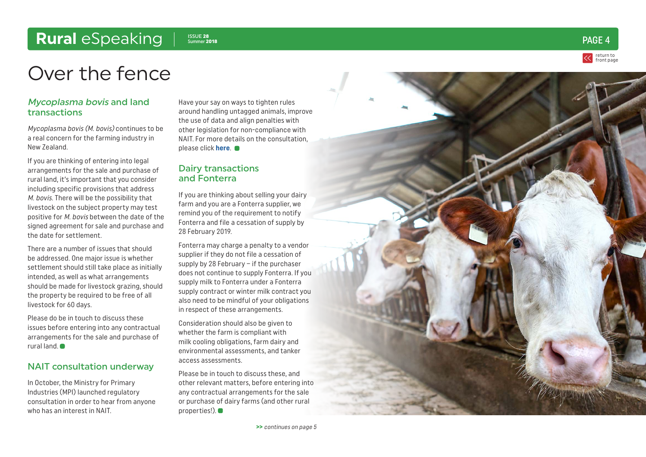Summer <sup>2018</sup> PAGE 4

### <span id="page-3-0"></span>Over the fence

#### Mycoplasma bovis and land transactions

Mycoplasma bovis (M. bovis) continues to be a real concern for the farming industry in New Zealand.

If you are thinking of entering into legal arrangements for the sale and purchase of rural land, it's important that you consider including specific provisions that address M. bovis. There will be the possibility that livestock on the subject property may test positive for M. bovis between the date of the signed agreement for sale and purchase and the date for settlement.

There are a number of issues that should be addressed. One major issue is whether settlement should still take place as initially intended, as well as what arrangements should be made for livestock grazing, should the property be required to be free of all livestock for 60 days.

Please do be in touch to discuss these issues before entering into any contractual arrangements for the sale and purchase of rural land.

#### NAIT consultation underway

In October, the Ministry for Primary Industries (MPI) launched regulatory consultation in order to hear from anyone who has an interest in NAIT.

Have your say on ways to tighten rules around handling untagged animals, improve the use of data and align penalties with other legislation for non-compliance with NAIT. For more details on the consultation, please click **[here](https://www.mpi.govt.nz/news-and-resources/consultations/proposed-changes-to-the-national-animal-identification-and-tracing-act-and-regulations/)**.

#### Dairy transactions and Fonterra

If you are thinking about selling your dairy farm and you are a Fonterra supplier, we remind you of the requirement to notify Fonterra and file a cessation of supply by 28 February 2019.

Fonterra may charge a penalty to a vendor supplier if they do not file a cessation of supply by 28 February – if the purchaser does not continue to supply Fonterra. If you supply milk to Fonterra under a Fonterra supply contract or winter milk contract you also need to be mindful of your obligations in respect of these arrangements.

Consideration should also be given to whether the farm is compliant with milk cooling obligations, farm dairy and environmental assessments, and tanker access assessments.

Please be in touch to discuss these, and other relevant matters, before entering into any contractual arrangements for the sale or purchase of dairy farms (and other rural properties!).  $\bullet$ 



return to [front page](#page-0-0)